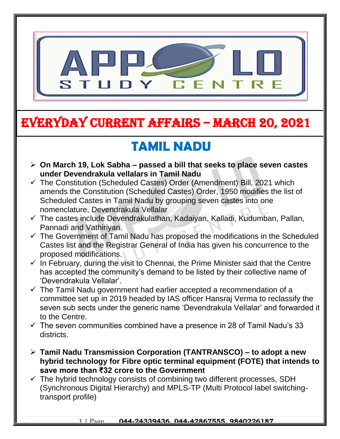

# EVERYDAY CURRENT AFFAIRS – MARCH 20, 2021

-

#### **TAMIL NADU**  $\frac{1}{2}$

- **On March 19, Lok Sabha – passed a bill that seeks to place seven castes under Devendrakula vellalars in Tamil Nadu**
- $\checkmark$  The Constitution (Scheduled Castes) Order (Amendment) Bill, 2021 which amends the Constitution (Scheduled Castes) Order, 1950 modifies the list of Scheduled Castes in Tamil Nadu by grouping seven castes into one nomenclature, Devendrakula Vellalar
- $\checkmark$  The castes include Devendrakulathan, Kadaiyan, Kalladi, Kudumban, Pallan, Pannadi and Vathiriyan.
- $\checkmark$  The Government of Tamil Nadu has proposed the modifications in the Scheduled Castes list and the Registrar General of India has given his concurrence to the proposed modifications.
- $\checkmark$  In February, during the visit to Chennai, the Prime Minister said that the Centre has accepted the community's demand to be listed by their collective name of 'Devendrakula Vellalar'.
- $\checkmark$  The Tamil Nadu government had earlier accepted a recommendation of a committee set up in 2019 headed by IAS officer Hansraj Verma to reclassify the seven sub sects under the generic name 'Devendrakula Vellalar' and forwarded it to the Centre.
- $\checkmark$  The seven communities combined have a presence in 28 of Tamil Nadu's 33 districts.
- **Tamil Nadu Transmission Corporation (TANTRANSCO) – to adopt a new hybrid technology for Fibre optic terminal equipment (FOTE) that intends to save more than ₹32 crore to the Government**
- $\checkmark$  The hybrid technology consists of combining two different processes, SDH (Synchronous Digital Hierarchy) and MPLS-TP (Multi Protocol label switchingtransport profile)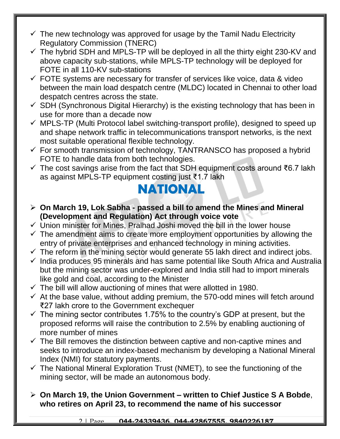- $\checkmark$  The new technology was approved for usage by the Tamil Nadu Electricity Regulatory Commission (TNERC)
- $\checkmark$  The hybrid SDH and MPLS-TP will be deployed in all the thirty eight 230-KV and above capacity sub-stations, while MPLS-TP technology will be deployed for FOTE in all 110-KV sub-stations
- $\checkmark$  FOTE systems are necessary for transfer of services like voice, data & video between the main load despatch centre (MLDC) located in Chennai to other load despatch centres across the state.
- $\checkmark$  SDH (Synchronous Digital Hierarchy) is the existing technology that has been in use for more than a decade now
- $\checkmark$  MPLS-TP (Multi Protocol label switching-transport profile), designed to speed up and shape network traffic in telecommunications transport networks, is the next most suitable operational flexible technology.
- $\checkmark$  For smooth transmission of technology, TANTRANSCO has proposed a hybrid FOTE to handle data from both technologies.
- The cost savings arise from the fact that SDH equipment costs around ₹6.7 lakh as against MPLS-TP equipment costing just ₹1.7 lakh

### **NATIONAL**

- **On March 19, Lok Sabha - passed a bill to amend the Mines and Mineral (Development and Regulation) Act through voice vote**
- $\checkmark$  Union minister for Mines, Pralhad Joshi moved the bill in the lower house
- $\checkmark$  The amendment aims to create more employment opportunities by allowing the entry of private enterprises and enhanced technology in mining activities.
- $\checkmark$  The reform in the mining sector would generate 55 lakh direct and indirect jobs.
- $\checkmark$  India produces 95 minerals and has same potential like South Africa and Australia but the mining sector was under-explored and India still had to import minerals like gold and coal, according to the Minister
- $\checkmark$  The bill will allow auctioning of mines that were allotted in 1980.
- $\checkmark$  At the base value, without adding premium, the 570-odd mines will fetch around ₹27 lakh crore to the Government exchequer
- $\checkmark$  The mining sector contributes 1.75% to the country's GDP at present, but the proposed reforms will raise the contribution to 2.5% by enabling auctioning of more number of mines
- $\checkmark$  The Bill removes the distinction between captive and non-captive mines and seeks to introduce an index-based mechanism by developing a National Mineral Index (NMI) for statutory payments.
- $\checkmark$  The National Mineral Exploration Trust (NMET), to see the functioning of the mining sector, will be made an autonomous body.
- **On March 19, the Union Government – written to Chief Justice S A Bobde**, **who retires on April 23, to recommend the name of his successor**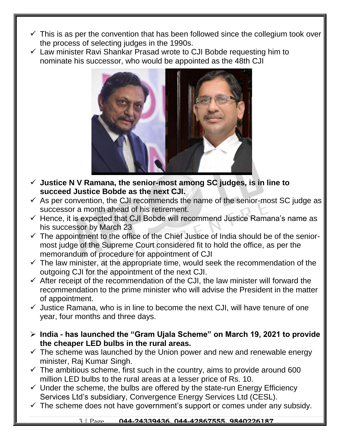- $\checkmark$  This is as per the convention that has been followed since the collegium took over the process of selecting judges in the 1990s.
- $\checkmark$  Law minister Ravi Shankar Prasad wrote to CJI Bobde requesting him to nominate his successor, who would be appointed as the 48th CJI



- **Justice N V Ramana, the senior-most among SC judges, is in line to succeed Justice Bobde as the next CJI.**
- $\checkmark$  As per convention, the CJI recommends the name of the senior-most SC judge as successor a month ahead of his retirement.
- $\checkmark$  Hence, it is expected that CJI Bobde will recommend Justice Ramana's name as his successor by March 23
- $\checkmark$  The appointment to the office of the Chief Justice of India should be of the seniormost judge of the Supreme Court considered fit to hold the office, as per the memorandum of procedure for appointment of CJI
- $\checkmark$  The law minister, at the appropriate time, would seek the recommendation of the outgoing CJI for the appointment of the next CJI.
- $\checkmark$  After receipt of the recommendation of the CJI, the law minister will forward the recommendation to the prime minister who will advise the President in the matter of appointment.
- $\checkmark$  Justice Ramana, who is in line to become the next CJI, will have tenure of one year, four months and three days.
- **India - has launched the "Gram Ujala Scheme" on March 19, 2021 to provide the cheaper LED bulbs in the rural areas.**
- $\checkmark$  The scheme was launched by the Union power and new and renewable energy minister, Raj Kumar Singh.
- $\checkmark$  The ambitious scheme, first such in the country, aims to provide around 600 million LED bulbs to the rural areas at a lesser price of Rs. 10.
- $\checkmark$  Under the scheme, the bulbs are offered by the state-run Energy Efficiency Services Ltd's subsidiary, Convergence Energy Services Ltd (CESL).
- $\checkmark$  The scheme does not have government's support or comes under any subsidy.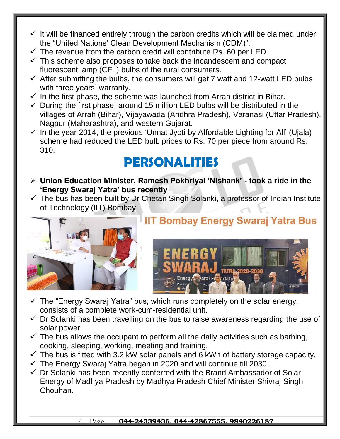- $\checkmark$  It will be financed entirely through the carbon credits which will be claimed under the "United Nations' Clean Development Mechanism (CDM)".
- $\checkmark$  The revenue from the carbon credit will contribute Rs. 60 per LED.
- $\checkmark$  This scheme also proposes to take back the incandescent and compact fluorescent lamp (CFL) bulbs of the rural consumers.
- $\checkmark$  After submitting the bulbs, the consumers will get 7 watt and 12-watt LED bulbs with three years' warranty.
- $\checkmark$  In the first phase, the scheme was launched from Arrah district in Bihar.
- $\checkmark$  During the first phase, around 15 million LED bulbs will be distributed in the villages of Arrah (Bihar), Vijayawada (Andhra Pradesh), Varanasi (Uttar Pradesh), Nagpur (Maharashtra), and western Gujarat.
- $\checkmark$  In the year 2014, the previous 'Unnat Jyoti by Affordable Lighting for All' (Ujala) scheme had reduced the LED bulb prices to Rs. 70 per piece from around Rs. 310.

### **PERSONALITIES**

- **Union Education Minister, Ramesh Pokhriyal 'Nishank' - took a ride in the 'Energy Swaraj Yatra' bus recently**
- $\checkmark$  The bus has been built by Dr Chetan Singh Solanki, a professor of Indian Institute of Technology (IIT) Bombay



### **IIT Bombay Energy Swaraj Yatra Bus**



- $\checkmark$  The "Energy Swaraj Yatra" bus, which runs completely on the solar energy, consists of a complete work-cum-residential unit.
- $\checkmark$  Dr Solanki has been travelling on the bus to raise awareness regarding the use of solar power.
- $\checkmark$  The bus allows the occupant to perform all the daily activities such as bathing, cooking, sleeping, working, meeting and training.
- $\checkmark$  The bus is fitted with 3.2 kW solar panels and 6 kWh of battery storage capacity.
- $\checkmark$  The Energy Swaraj Yatra began in 2020 and will continue till 2030.
- $\checkmark$  Dr Solanki has been recently conferred with the Brand Ambassador of Solar Energy of Madhya Pradesh by Madhya Pradesh Chief Minister Shivraj Singh Chouhan.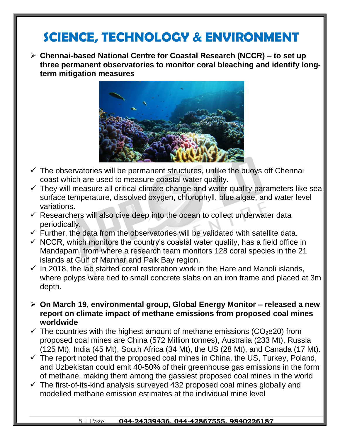### **SCIENCE, TECHNOLOGY & ENVIRONMENT**

 **Chennai-based National Centre for Coastal Research (NCCR) – to set up three permanent observatories to monitor coral bleaching and identify longterm mitigation measures**



- $\checkmark$  The observatories will be permanent structures, unlike the buoys off Chennai coast which are used to measure coastal water quality.
- $\checkmark$  They will measure all critical climate change and water quality parameters like sea surface temperature, dissolved oxygen, chlorophyll, blue algae, and water level variations.
- $\checkmark$  Researchers will also dive deep into the ocean to collect underwater data periodically.
- $\checkmark$  Further, the data from the observatories will be validated with satellite data.
- $\checkmark$  NCCR, which monitors the country's coastal water quality, has a field office in Mandapam, from where a research team monitors 128 coral species in the 21 islands at Gulf of Mannar and Palk Bay region.
- $\checkmark$  In 2018, the lab started coral restoration work in the Hare and Manoli islands, where polyps were tied to small concrete slabs on an iron frame and placed at 3m depth.
- **On March 19, environmental group, Global Energy Monitor – released a new report on climate impact of methane emissions from proposed coal mines worldwide**
- $\checkmark$  The countries with the highest amount of methane emissions (CO<sub>2</sub>e20) from proposed coal mines are China (572 Million tonnes), Australia (233 Mt), Russia (125 Mt), India (45 Mt), South Africa (34 Mt), the US (28 Mt), and Canada (17 Mt).
- $\checkmark$  The report noted that the proposed coal mines in China, the US, Turkey, Poland, and Uzbekistan could emit 40-50% of their greenhouse gas emissions in the form of methane, making them among the gassiest proposed coal mines in the world
- $\checkmark$  The first-of-its-kind analysis surveyed 432 proposed coal mines globally and modelled methane emission estimates at the individual mine level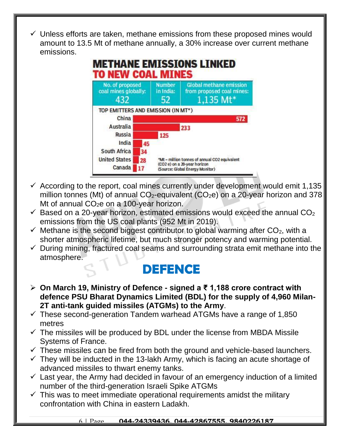$\checkmark$  Unless efforts are taken, methane emissions from these proposed mines would amount to 13.5 Mt of methane annually, a 30% increase over current methane emissions.



- $\checkmark$  According to the report, coal mines currently under development would emit 1,135 million tonnes (Mt) of annual  $CO<sub>2</sub>$ -equivalent (CO<sub>2</sub>e) on a 20-year horizon and 378 Mt of annual  $CO<sub>2</sub>e$  on a 100-year horizon.
- $\checkmark$  Based on a 20-year horizon, estimated emissions would exceed the annual CO<sub>2</sub> emissions from the US coal plants (952 Mt in 2019).
- $\checkmark$  Methane is the second biggest contributor to global warming after CO<sub>2</sub>, with a shorter atmospheric lifetime, but much stronger potency and warming potential.
- $\checkmark$  During mining, fractured coal seams and surrounding strata emit methane into the atmosphere.

### **DEFENCE**

- **On March 19, Ministry of Defence - signed a ₹ 1,188 crore contract with defence PSU Bharat Dynamics Limited (BDL) for the supply of 4,960 Milan-2T anti-tank guided missiles (ATGMs) to the Army**.
- $\checkmark$  These second-generation Tandem warhead ATGMs have a range of 1,850 metres
- $\checkmark$  The missiles will be produced by BDL under the license from MBDA Missile Systems of France.
- $\checkmark$  These missiles can be fired from both the ground and vehicle-based launchers.
- $\checkmark$  They will be inducted in the 13-lakh Army, which is facing an acute shortage of advanced missiles to thwart enemy tanks.
- $\checkmark$  Last year, the Army had decided in favour of an emergency induction of a limited number of the third-generation Israeli Spike ATGMs
- $\checkmark$  This was to meet immediate operational requirements amidst the military confrontation with China in eastern Ladakh.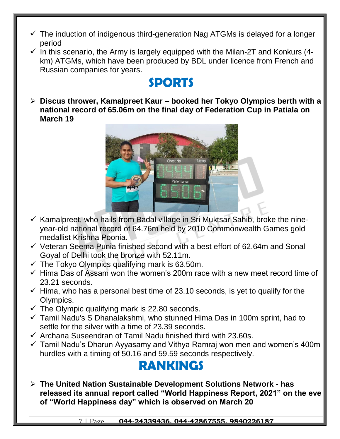- $\checkmark$  The induction of indigenous third-generation Nag ATGMs is delayed for a longer period
- $\checkmark$  In this scenario, the Army is largely equipped with the Milan-2T and Konkurs (4km) ATGMs, which have been produced by BDL under licence from French and Russian companies for years.

### **SPORTS**

 **Discus thrower, Kamalpreet Kaur – booked her Tokyo Olympics berth with a national record of 65.06m on the final day of Federation Cup in Patiala on March 19**



- $\checkmark$  Kamalpreet, who hails from Badal village in Sri Muktsar Sahib, broke the nineyear-old national record of 64.76m held by 2010 Commonwealth Games gold medallist Krishna Poonia.
- $\checkmark$  Veteran Seema Punia finished second with a best effort of 62.64m and Sonal Goyal of Delhi took the bronze with 52.11m.
- $\checkmark$  The Tokyo Olympics qualifying mark is 63.50m.
- $\checkmark$  Hima Das of Assam won the women's 200m race with a new meet record time of 23.21 seconds.
- $\checkmark$  Hima, who has a personal best time of 23.10 seconds, is yet to qualify for the Olympics.
- $\checkmark$  The Olympic qualifying mark is 22.80 seconds.
- $\checkmark$  Tamil Nadu's S Dhanalakshmi, who stunned Hima Das in 100m sprint, had to settle for the silver with a time of 23.39 seconds.
- $\checkmark$  Archana Suseendran of Tamil Nadu finished third with 23.60s.
- $\checkmark$  Tamil Nadu's Dharun Ayyasamy and Vithya Ramraj won men and women's 400m hurdles with a timing of 50.16 and 59.59 seconds respectively.

# **RANKINGS**

 **The United Nation Sustainable Development Solutions Network - has released its annual report called "World Happiness Report, 2021" on the eve of "World Happiness day" which is observed on March 20**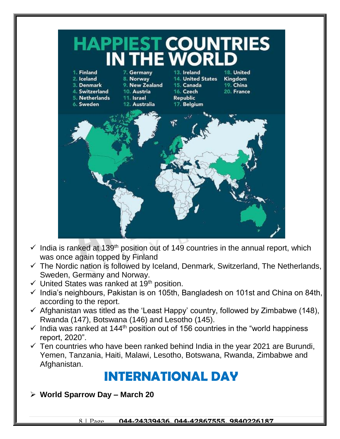

- $\checkmark$  India is ranked at 139<sup>th</sup> position out of 149 countries in the annual report, which was once again topped by Finland
- $\checkmark$  The Nordic nation is followed by Iceland, Denmark, Switzerland, The Netherlands, Sweden, Germany and Norway.
- $\checkmark$  United States was ranked at 19<sup>th</sup> position.
- $\checkmark$  India's neighbours, Pakistan is on 105th, Bangladesh on 101st and China on 84th, according to the report.
- $\checkmark$  Afghanistan was titled as the 'Least Happy' country, followed by Zimbabwe (148), Rwanda (147), Botswana (146) and Lesotho (145).
- $\checkmark$  India was ranked at 144<sup>th</sup> position out of 156 countries in the "world happiness" report, 2020".
- $\checkmark$  Ten countries who have been ranked behind India in the year 2021 are Burundi, Yemen, Tanzania, Haiti, Malawi, Lesotho, Botswana, Rwanda, Zimbabwe and Afghanistan.

### **INTERNATIONAL DAY**

**World Sparrow Day – March 20**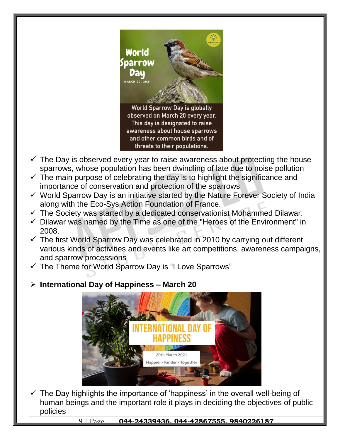

- $\checkmark$  The Day is observed every year to raise awareness about protecting the house sparrows, whose population has been dwindling of late due to noise pollution
- $\checkmark$  The main purpose of celebrating the day is to highlight the significance and importance of conservation and protection of the sparrows
- $\checkmark$  World Sparrow Day is an initiative started by the Nature Forever Society of India along with the Eco-Sys Action Foundation of France.
- $\checkmark$  The Society was started by a dedicated conservationist Mohammed Dilawar.
- $\checkmark$  Dilawar was named by the Time as one of the "Heroes of the Environment" in 2008.
- $\checkmark$  The first World Sparrow Day was celebrated in 2010 by carrying out different various kinds of activities and events like art competitions, awareness campaigns, and sparrow processions
- $\checkmark$  The Theme for World Sparrow Day is "I Love Sparrows"

#### **International Day of Happiness – March 20**



 $\checkmark$  The Day highlights the importance of 'happiness' in the overall well-being of human beings and the important role it plays in deciding the objectives of public policies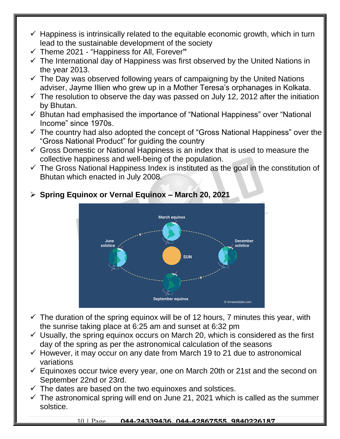- $\checkmark$  Happiness is intrinsically related to the equitable economic growth, which in turn lead to the sustainable development of the society
- Theme 2021 "Happiness for All, Forever**"**
- $\checkmark$  The International day of Happiness was first observed by the United Nations in the year 2013.
- $\checkmark$  The Day was observed following years of campaigning by the United Nations adviser, Jayme Illien who grew up in a Mother Teresa's orphanages in Kolkata.
- $\checkmark$  The resolution to observe the day was passed on July 12, 2012 after the initiation by Bhutan.
- $\checkmark$  Bhutan had emphasised the importance of "National Happiness" over "National Income" since 1970s.
- $\checkmark$  The country had also adopted the concept of "Gross National Happiness" over the "Gross National Product" for guiding the country
- $\checkmark$  Gross Domestic or National Happiness is an index that is used to measure the collective happiness and well-being of the population.
- $\checkmark$  The Gross National Happiness Index is instituted as the goal in the constitution of Bhutan which enacted in July 2008.



#### **Spring Equinox or Vernal Equinox – March 20, 2021**

- $\checkmark$  The duration of the spring equinox will be of 12 hours, 7 minutes this year, with the sunrise taking place at 6:25 am and sunset at 6:32 pm
- $\checkmark$  Usually, the spring equinox occurs on March 20, which is considered as the first day of the spring as per the astronomical calculation of the seasons
- $\checkmark$  However, it may occur on any date from March 19 to 21 due to astronomical variations
- $\checkmark$  Equinoxes occur twice every year, one on March 20th or 21st and the second on September 22nd or 23rd.
- $\checkmark$  The dates are based on the two equinoxes and solstices.
- $\checkmark$  The astronomical spring will end on June 21, 2021 which is called as the summer solstice.